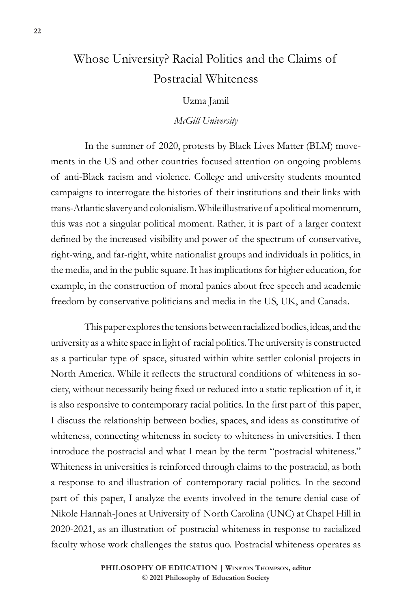# Whose University? Racial Politics and the Claims of Postracial Whiteness

#### Uzma Jamil

#### *McGill University*

In the summer of 2020, protests by Black Lives Matter (BLM) movements in the US and other countries focused attention on ongoing problems of anti-Black racism and violence. College and university students mounted campaigns to interrogate the histories of their institutions and their links with trans-Atlantic slavery and colonialism. While illustrative of a political momentum, this was not a singular political moment. Rather, it is part of a larger context defined by the increased visibility and power of the spectrum of conservative, right-wing, and far-right, white nationalist groups and individuals in politics, in the media, and in the public square. It has implications for higher education, for example, in the construction of moral panics about free speech and academic freedom by conservative politicians and media in the US, UK, and Canada.

This paper explores the tensions between racialized bodies, ideas, and the university as a white space in light of racial politics. The university is constructed as a particular type of space, situated within white settler colonial projects in North America. While it reflects the structural conditions of whiteness in society, without necessarily being fixed or reduced into a static replication of it, it is also responsive to contemporary racial politics. In the first part of this paper, I discuss the relationship between bodies, spaces, and ideas as constitutive of whiteness, connecting whiteness in society to whiteness in universities. I then introduce the postracial and what I mean by the term "postracial whiteness." Whiteness in universities is reinforced through claims to the postracial, as both a response to and illustration of contemporary racial politics. In the second part of this paper, I analyze the events involved in the tenure denial case of Nikole Hannah-Jones at University of North Carolina (UNC) at Chapel Hill in 2020-2021, as an illustration of postracial whiteness in response to racialized faculty whose work challenges the status quo. Postracial whiteness operates as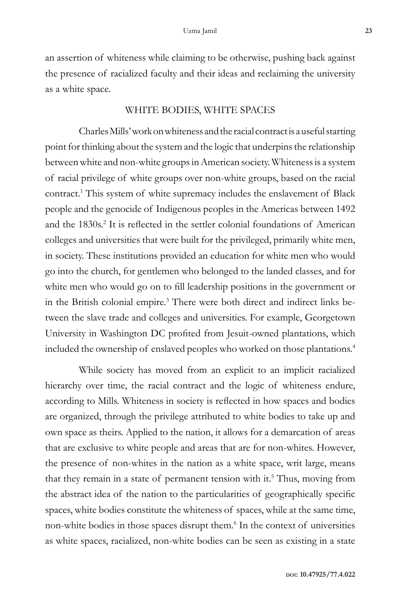an assertion of whiteness while claiming to be otherwise, pushing back against the presence of racialized faculty and their ideas and reclaiming the university as a white space.

## WHITE BODIES, WHITE SPACES

Charles Mills' work on whiteness and the racial contract is a useful starting point for thinking about the system and the logic that underpins the relationship between white and non-white groups in American society. Whiteness is a system of racial privilege of white groups over non-white groups, based on the racial contract.<sup>1</sup> This system of white supremacy includes the enslavement of Black people and the genocide of Indigenous peoples in the Americas between 1492 and the 1830s.<sup>2</sup> It is reflected in the settler colonial foundations of American colleges and universities that were built for the privileged, primarily white men, in society. These institutions provided an education for white men who would go into the church, for gentlemen who belonged to the landed classes, and for white men who would go on to fill leadership positions in the government or in the British colonial empire.3 There were both direct and indirect links between the slave trade and colleges and universities. For example, Georgetown University in Washington DC profited from Jesuit-owned plantations, which included the ownership of enslaved peoples who worked on those plantations.4

While society has moved from an explicit to an implicit racialized hierarchy over time, the racial contract and the logic of whiteness endure, according to Mills. Whiteness in society is reflected in how spaces and bodies are organized, through the privilege attributed to white bodies to take up and own space as theirs. Applied to the nation, it allows for a demarcation of areas that are exclusive to white people and areas that are for non-whites. However, the presence of non-whites in the nation as a white space, writ large, means that they remain in a state of permanent tension with it.<sup>5</sup> Thus, moving from the abstract idea of the nation to the particularities of geographically specific spaces, white bodies constitute the whiteness of spaces, while at the same time, non-white bodies in those spaces disrupt them.6 In the context of universities as white spaces, racialized, non-white bodies can be seen as existing in a state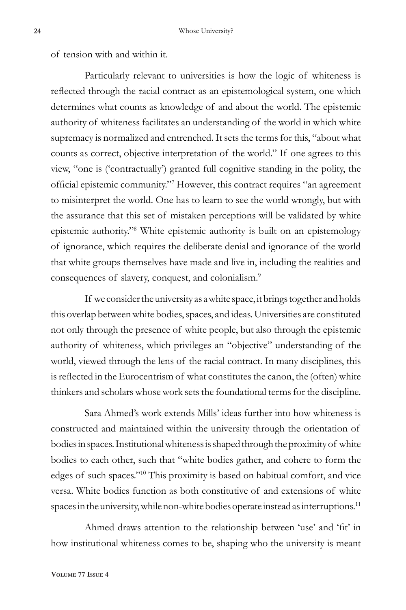of tension with and within it.

Particularly relevant to universities is how the logic of whiteness is reflected through the racial contract as an epistemological system, one which determines what counts as knowledge of and about the world. The epistemic authority of whiteness facilitates an understanding of the world in which white supremacy is normalized and entrenched. It sets the terms for this, "about what counts as correct, objective interpretation of the world." If one agrees to this view, "one is ('contractually') granted full cognitive standing in the polity, the official epistemic community."<sup>7</sup> However, this contract requires "an agreement to misinterpret the world. One has to learn to see the world wrongly, but with the assurance that this set of mistaken perceptions will be validated by white epistemic authority."8 White epistemic authority is built on an epistemology of ignorance, which requires the deliberate denial and ignorance of the world that white groups themselves have made and live in, including the realities and consequences of slavery, conquest, and colonialism.<sup>9</sup>

If we consider the university as a white space, it brings together and holds this overlap between white bodies, spaces, and ideas. Universities are constituted not only through the presence of white people, but also through the epistemic authority of whiteness, which privileges an "objective" understanding of the world, viewed through the lens of the racial contract. In many disciplines, this is reflected in the Eurocentrism of what constitutes the canon, the (often) white thinkers and scholars whose work sets the foundational terms for the discipline.

Sara Ahmed's work extends Mills' ideas further into how whiteness is constructed and maintained within the university through the orientation of bodies in spaces. Institutional whiteness is shaped through the proximity of white bodies to each other, such that "white bodies gather, and cohere to form the edges of such spaces."10 This proximity is based on habitual comfort, and vice versa. White bodies function as both constitutive of and extensions of white spaces in the university, while non-white bodies operate instead as interruptions.<sup>11</sup>

Ahmed draws attention to the relationship between 'use' and 'fit' in how institutional whiteness comes to be, shaping who the university is meant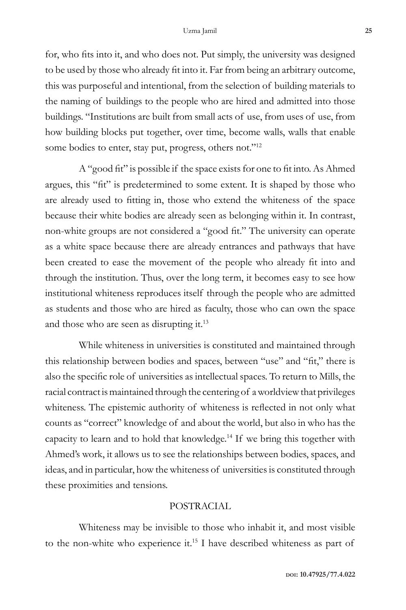for, who fits into it, and who does not. Put simply, the university was designed to be used by those who already fit into it. Far from being an arbitrary outcome, this was purposeful and intentional, from the selection of building materials to the naming of buildings to the people who are hired and admitted into those buildings. "Institutions are built from small acts of use, from uses of use, from how building blocks put together, over time, become walls, walls that enable some bodies to enter, stay put, progress, others not."<sup>12</sup>

A "good fit" is possible if the space exists for one to fit into. As Ahmed argues, this "fit" is predetermined to some extent. It is shaped by those who are already used to fitting in, those who extend the whiteness of the space because their white bodies are already seen as belonging within it. In contrast, non-white groups are not considered a "good fit." The university can operate as a white space because there are already entrances and pathways that have been created to ease the movement of the people who already fit into and through the institution. Thus, over the long term, it becomes easy to see how institutional whiteness reproduces itself through the people who are admitted as students and those who are hired as faculty, those who can own the space and those who are seen as disrupting it.<sup>13</sup>

While whiteness in universities is constituted and maintained through this relationship between bodies and spaces, between "use" and "fit," there is also the specific role of universities as intellectual spaces. To return to Mills, the racial contract is maintained through the centering of a worldview that privileges whiteness. The epistemic authority of whiteness is reflected in not only what counts as "correct" knowledge of and about the world, but also in who has the capacity to learn and to hold that knowledge.14 If we bring this together with Ahmed's work, it allows us to see the relationships between bodies, spaces, and ideas, and in particular, how the whiteness of universities is constituted through these proximities and tensions.

#### POSTRACIAL

Whiteness may be invisible to those who inhabit it, and most visible to the non-white who experience it.<sup>15</sup> I have described whiteness as part of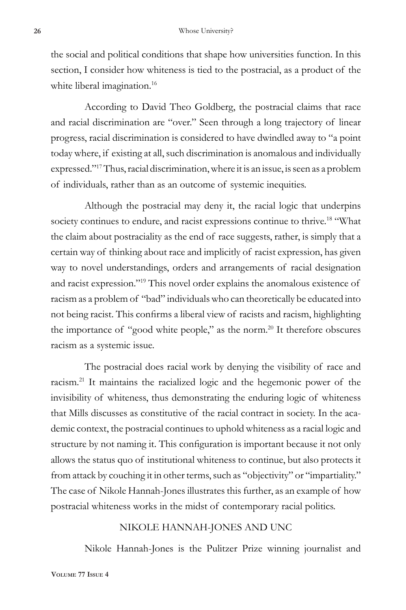the social and political conditions that shape how universities function. In this section, I consider how whiteness is tied to the postracial, as a product of the white liberal imagination.<sup>16</sup>

According to David Theo Goldberg, the postracial claims that race and racial discrimination are "over." Seen through a long trajectory of linear progress, racial discrimination is considered to have dwindled away to "a point today where, if existing at all, such discrimination is anomalous and individually expressed."17 Thus, racial discrimination, where it is an issue, is seen as a problem of individuals, rather than as an outcome of systemic inequities.

Although the postracial may deny it, the racial logic that underpins society continues to endure, and racist expressions continue to thrive.<sup>18</sup> "What the claim about postraciality as the end of race suggests, rather, is simply that a certain way of thinking about race and implicitly of racist expression, has given way to novel understandings, orders and arrangements of racial designation and racist expression."19 This novel order explains the anomalous existence of racism as a problem of "bad" individuals who can theoretically be educated into not being racist. This confirms a liberal view of racists and racism, highlighting the importance of "good white people," as the norm.<sup>20</sup> It therefore obscures racism as a systemic issue.

The postracial does racial work by denying the visibility of race and racism.21 It maintains the racialized logic and the hegemonic power of the invisibility of whiteness, thus demonstrating the enduring logic of whiteness that Mills discusses as constitutive of the racial contract in society. In the academic context, the postracial continues to uphold whiteness as a racial logic and structure by not naming it. This configuration is important because it not only allows the status quo of institutional whiteness to continue, but also protects it from attack by couching it in other terms, such as "objectivity" or "impartiality." The case of Nikole Hannah-Jones illustrates this further, as an example of how postracial whiteness works in the midst of contemporary racial politics.

## NIKOLE HANNAH-JONES AND UNC

Nikole Hannah-Jones is the Pulitzer Prize winning journalist and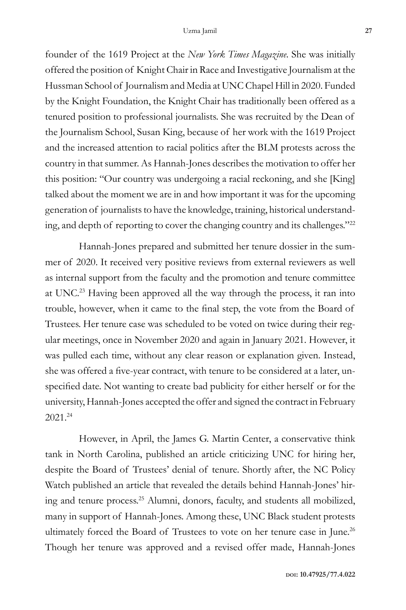founder of the 1619 Project at the *New York Times Magazine*. She was initially offered the position of Knight Chair in Race and Investigative Journalism at the Hussman School of Journalism and Media at UNC Chapel Hill in 2020. Funded by the Knight Foundation, the Knight Chair has traditionally been offered as a tenured position to professional journalists. She was recruited by the Dean of the Journalism School, Susan King, because of her work with the 1619 Project and the increased attention to racial politics after the BLM protests across the country in that summer. As Hannah-Jones describes the motivation to offer her this position: "Our country was undergoing a racial reckoning, and she [King] talked about the moment we are in and how important it was for the upcoming generation of journalists to have the knowledge, training, historical understanding, and depth of reporting to cover the changing country and its challenges."<sup>22</sup>

Hannah-Jones prepared and submitted her tenure dossier in the summer of 2020. It received very positive reviews from external reviewers as well as internal support from the faculty and the promotion and tenure committee at UNC.23 Having been approved all the way through the process, it ran into trouble, however, when it came to the final step, the vote from the Board of Trustees. Her tenure case was scheduled to be voted on twice during their regular meetings, once in November 2020 and again in January 2021. However, it was pulled each time, without any clear reason or explanation given. Instead, she was offered a five-year contract, with tenure to be considered at a later, unspecified date. Not wanting to create bad publicity for either herself or for the university, Hannah-Jones accepted the offer and signed the contract in February 2021.24

However, in April, the James G. Martin Center, a conservative think tank in North Carolina, published an article criticizing UNC for hiring her, despite the Board of Trustees' denial of tenure. Shortly after, the NC Policy Watch published an article that revealed the details behind Hannah-Jones' hiring and tenure process.25 Alumni, donors, faculty, and students all mobilized, many in support of Hannah-Jones. Among these, UNC Black student protests ultimately forced the Board of Trustees to vote on her tenure case in June.26 Though her tenure was approved and a revised offer made, Hannah-Jones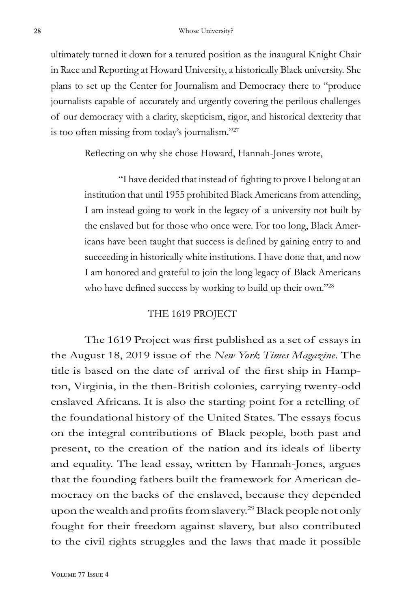ultimately turned it down for a tenured position as the inaugural Knight Chair in Race and Reporting at Howard University, a historically Black university. She plans to set up the Center for Journalism and Democracy there to "produce journalists capable of accurately and urgently covering the perilous challenges of our democracy with a clarity, skepticism, rigor, and historical dexterity that is too often missing from today's journalism."27

Reflecting on why she chose Howard, Hannah-Jones wrote,

"I have decided that instead of fighting to prove I belong at an institution that until 1955 prohibited Black Americans from attending, I am instead going to work in the legacy of a university not built by the enslaved but for those who once were. For too long, Black Americans have been taught that success is defined by gaining entry to and succeeding in historically white institutions. I have done that, and now I am honored and grateful to join the long legacy of Black Americans who have defined success by working to build up their own."28

#### THE 1619 PROJECT

The 1619 Project was first published as a set of essays in the August 18, 2019 issue of the *New York Times Magazine*. The title is based on the date of arrival of the first ship in Hampton, Virginia, in the then-British colonies, carrying twenty-odd enslaved Africans. It is also the starting point for a retelling of the foundational history of the United States. The essays focus on the integral contributions of Black people, both past and present, to the creation of the nation and its ideals of liberty and equality. The lead essay, written by Hannah-Jones, argues that the founding fathers built the framework for American democracy on the backs of the enslaved, because they depended upon the wealth and profits from slavery.<sup>29</sup> Black people not only fought for their freedom against slavery, but also contributed to the civil rights struggles and the laws that made it possible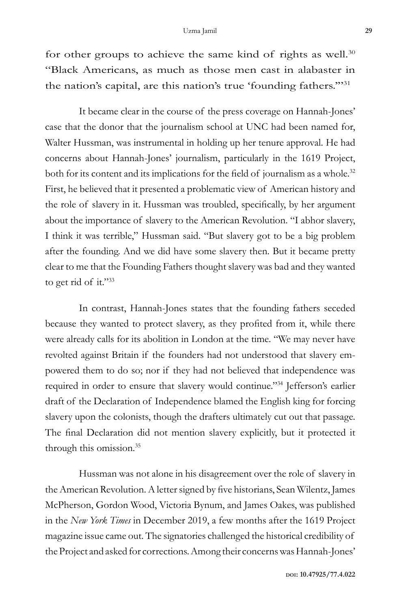for other groups to achieve the same kind of rights as well. $30$ "Black Americans, as much as those men cast in alabaster in the nation's capital, are this nation's true 'founding fathers.'"31

It became clear in the course of the press coverage on Hannah-Jones' case that the donor that the journalism school at UNC had been named for, Walter Hussman, was instrumental in holding up her tenure approval. He had concerns about Hannah-Jones' journalism, particularly in the 1619 Project, both for its content and its implications for the field of journalism as a whole.<sup>32</sup> First, he believed that it presented a problematic view of American history and the role of slavery in it. Hussman was troubled, specifically, by her argument about the importance of slavery to the American Revolution. "I abhor slavery, I think it was terrible," Hussman said. "But slavery got to be a big problem after the founding. And we did have some slavery then. But it became pretty clear to me that the Founding Fathers thought slavery was bad and they wanted to get rid of it."33

In contrast, Hannah-Jones states that the founding fathers seceded because they wanted to protect slavery, as they profited from it, while there were already calls for its abolition in London at the time. "We may never have revolted against Britain if the founders had not understood that slavery empowered them to do so; nor if they had not believed that independence was required in order to ensure that slavery would continue."34 Jefferson's earlier draft of the Declaration of Independence blamed the English king for forcing slavery upon the colonists, though the drafters ultimately cut out that passage. The final Declaration did not mention slavery explicitly, but it protected it through this omission.35

Hussman was not alone in his disagreement over the role of slavery in the American Revolution. A letter signed by five historians, Sean Wilentz, James McPherson, Gordon Wood, Victoria Bynum, and James Oakes, was published in the *New York Times* in December 2019, a few months after the 1619 Project magazine issue came out. The signatories challenged the historical credibility of the Project and asked for corrections. Among their concerns was Hannah-Jones'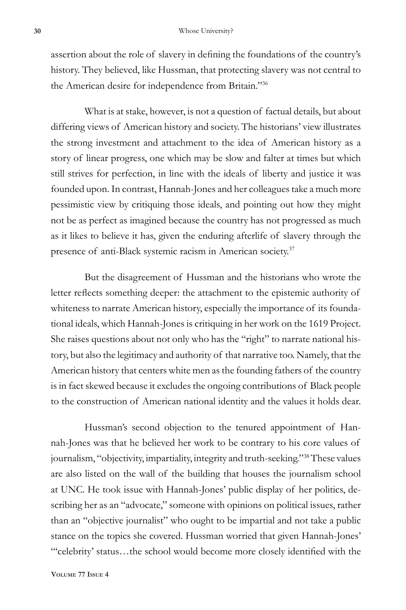assertion about the role of slavery in defining the foundations of the country's history. They believed, like Hussman, that protecting slavery was not central to the American desire for independence from Britain."36

What is at stake, however, is not a question of factual details, but about differing views of American history and society. The historians' view illustrates the strong investment and attachment to the idea of American history as a story of linear progress, one which may be slow and falter at times but which still strives for perfection, in line with the ideals of liberty and justice it was founded upon. In contrast, Hannah-Jones and her colleagues take a much more pessimistic view by critiquing those ideals, and pointing out how they might not be as perfect as imagined because the country has not progressed as much as it likes to believe it has, given the enduring afterlife of slavery through the presence of anti-Black systemic racism in American society.<sup>37</sup>

But the disagreement of Hussman and the historians who wrote the letter reflects something deeper: the attachment to the epistemic authority of whiteness to narrate American history, especially the importance of its foundational ideals, which Hannah-Jones is critiquing in her work on the 1619 Project. She raises questions about not only who has the "right" to narrate national history, but also the legitimacy and authority of that narrative too. Namely, that the American history that centers white men as the founding fathers of the country is in fact skewed because it excludes the ongoing contributions of Black people to the construction of American national identity and the values it holds dear.

Hussman's second objection to the tenured appointment of Hannah-Jones was that he believed her work to be contrary to his core values of journalism, "objectivity, impartiality, integrity and truth-seeking."38 These values are also listed on the wall of the building that houses the journalism school at UNC. He took issue with Hannah-Jones' public display of her politics, describing her as an "advocate," someone with opinions on political issues, rather than an "objective journalist" who ought to be impartial and not take a public stance on the topics she covered. Hussman worried that given Hannah-Jones' "'celebrity' status…the school would become more closely identified with the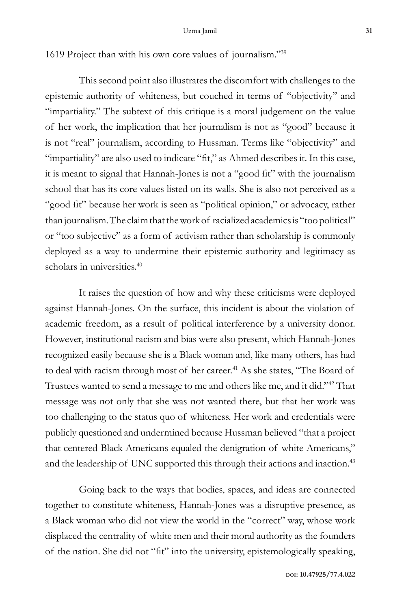1619 Project than with his own core values of journalism."39

This second point also illustrates the discomfort with challenges to the epistemic authority of whiteness, but couched in terms of "objectivity" and "impartiality." The subtext of this critique is a moral judgement on the value of her work, the implication that her journalism is not as "good" because it is not "real" journalism, according to Hussman. Terms like "objectivity" and "impartiality" are also used to indicate "fit," as Ahmed describes it. In this case, it is meant to signal that Hannah-Jones is not a "good fit" with the journalism school that has its core values listed on its walls. She is also not perceived as a "good fit" because her work is seen as "political opinion," or advocacy, rather than journalism. The claim that the work of racialized academics is "too political" or "too subjective" as a form of activism rather than scholarship is commonly deployed as a way to undermine their epistemic authority and legitimacy as scholars in universities.<sup>40</sup>

It raises the question of how and why these criticisms were deployed against Hannah-Jones. On the surface, this incident is about the violation of academic freedom, as a result of political interference by a university donor. However, institutional racism and bias were also present, which Hannah-Jones recognized easily because she is a Black woman and, like many others, has had to deal with racism through most of her career.<sup>41</sup> As she states, "The Board of Trustees wanted to send a message to me and others like me, and it did."42 That message was not only that she was not wanted there, but that her work was too challenging to the status quo of whiteness. Her work and credentials were publicly questioned and undermined because Hussman believed "that a project that centered Black Americans equaled the denigration of white Americans," and the leadership of UNC supported this through their actions and inaction.<sup>43</sup>

Going back to the ways that bodies, spaces, and ideas are connected together to constitute whiteness, Hannah-Jones was a disruptive presence, as a Black woman who did not view the world in the "correct" way, whose work displaced the centrality of white men and their moral authority as the founders of the nation. She did not "fit" into the university, epistemologically speaking,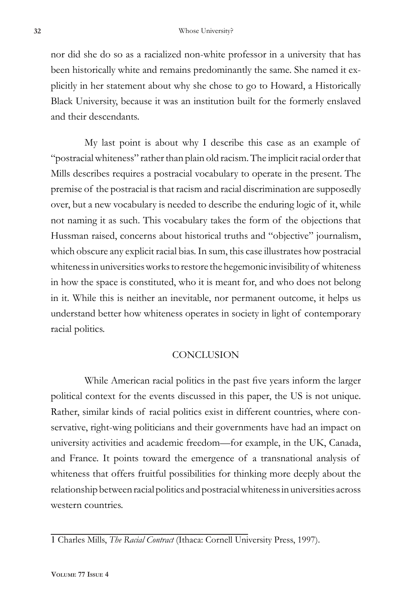nor did she do so as a racialized non-white professor in a university that has been historically white and remains predominantly the same. She named it explicitly in her statement about why she chose to go to Howard, a Historically Black University, because it was an institution built for the formerly enslaved and their descendants.

My last point is about why I describe this case as an example of "postracial whiteness" rather than plain old racism. The implicit racial order that Mills describes requires a postracial vocabulary to operate in the present. The premise of the postracial is that racism and racial discrimination are supposedly over, but a new vocabulary is needed to describe the enduring logic of it, while not naming it as such. This vocabulary takes the form of the objections that Hussman raised, concerns about historical truths and "objective" journalism, which obscure any explicit racial bias. In sum, this case illustrates how postracial whiteness in universities works to restore the hegemonic invisibility of whiteness in how the space is constituted, who it is meant for, and who does not belong in it. While this is neither an inevitable, nor permanent outcome, it helps us understand better how whiteness operates in society in light of contemporary racial politics.

## **CONCLUSION**

While American racial politics in the past five years inform the larger political context for the events discussed in this paper, the US is not unique. Rather, similar kinds of racial politics exist in different countries, where conservative, right-wing politicians and their governments have had an impact on university activities and academic freedom—for example, in the UK, Canada, and France. It points toward the emergence of a transnational analysis of whiteness that offers fruitful possibilities for thinking more deeply about the relationship between racial politics and postracial whiteness in universities across western countries.

<sup>1</sup> Charles Mills, *The Racial Contract* (Ithaca: Cornell University Press, 1997).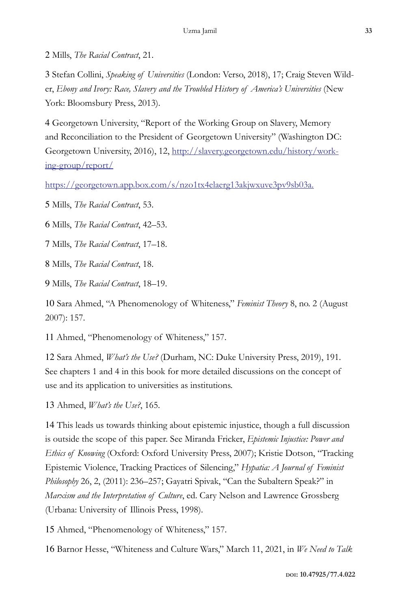2 Mills, *The Racial Contract*, 21.

3 Stefan Collini, *Speaking of Universities* (London: Verso, 2018), 17; Craig Steven Wilder, *Ebony and Ivory: Race, Slavery and the Troubled History of America's Universities* (New York: Bloomsbury Press, 2013).

4 Georgetown University, "Report of the Working Group on Slavery, Memory and Reconciliation to the President of Georgetown University" (Washington DC: Georgetown University, 2016), 12, http://slavery.georgetown.edu/history/working-group/report/

https://georgetown.app.box.com/s/nzo1tx4elaerg13akjwxuve3pv9sb03a.

5 Mills, *The Racial Contract*, 53.

6 Mills, *The Racial Contract*, 42–53.

7 Mills, *The Racial Contract*, 17–18.

8 Mills, *The Racial Contract*, 18.

9 Mills, *The Racial Contract*, 18–19.

10 Sara Ahmed, "A Phenomenology of Whiteness," *Feminist Theory* 8, no. 2 (August 2007): 157.

11 Ahmed, "Phenomenology of Whiteness," 157.

12 Sara Ahmed, *What's the Use?* (Durham, NC: Duke University Press, 2019), 191. See chapters 1 and 4 in this book for more detailed discussions on the concept of use and its application to universities as institutions.

13 Ahmed, *What's the Use?*, 165.

14 This leads us towards thinking about epistemic injustice, though a full discussion is outside the scope of this paper. See Miranda Fricker, *Epistemic Injustice: Power and Ethics of Knowing* (Oxford: Oxford University Press, 2007); Kristie Dotson, "Tracking Epistemic Violence, Tracking Practices of Silencing," *Hypatia: A Journal of Feminist Philosophy* 26, 2, (2011): 236–257; Gayatri Spivak, "Can the Subaltern Speak?" in *Marxism and the Interpretation of Culture*, ed. Cary Nelson and Lawrence Grossberg (Urbana: University of Illinois Press, 1998).

15 Ahmed, "Phenomenology of Whiteness," 157.

16 Barnor Hesse, "Whiteness and Culture Wars," March 11, 2021, in *We Need to Talk*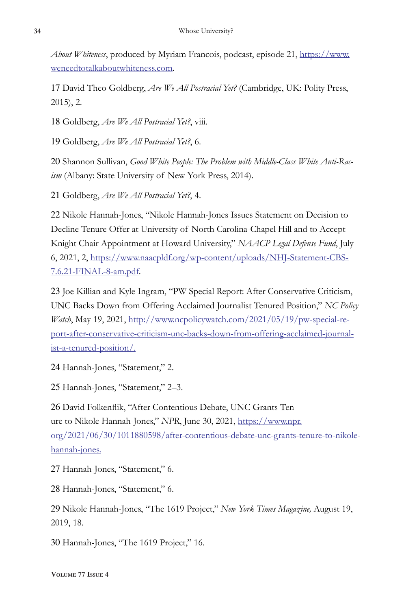*About Whiteness*, produced by Myriam Francois, podcast, episode 21, https://www. weneedtotalkaboutwhiteness.com.

17 David Theo Goldberg, *Are We All Postracial Yet?* (Cambridge, UK: Polity Press, 2015), 2.

18 Goldberg, *Are We All Postracial Yet?*, viii.

19 Goldberg, *Are We All Postracial Yet?*, 6.

20 Shannon Sullivan, *Good White People: The Problem with Middle-Class White Anti-Racism* (Albany: State University of New York Press, 2014).

21 Goldberg, *Are We All Postracial Yet?*, 4.

22 Nikole Hannah-Jones, "Nikole Hannah-Jones Issues Statement on Decision to Decline Tenure Offer at University of North Carolina-Chapel Hill and to Accept Knight Chair Appointment at Howard University," *NAACP Legal Defense Fund*, July 6, 2021, 2, https://www.naacpldf.org/wp-content/uploads/NHJ-Statement-CBS-7.6.21-FINAL-8-am.pdf.

23 Joe Killian and Kyle Ingram, "PW Special Report: After Conservative Criticism, UNC Backs Down from Offering Acclaimed Journalist Tenured Position," *NC Policy Watch*, May 19, 2021, http://www.ncpolicywatch.com/2021/05/19/pw-special-report-after-conservative-criticism-unc-backs-down-from-offering-acclaimed-journalist-a-tenured-position/.

24 Hannah-Jones, "Statement," 2.

25 Hannah-Jones, "Statement," 2–3.

26 David Folkenflik, "After Contentious Debate, UNC Grants Tenure to Nikole Hannah-Jones," *NPR*, June 30, 2021, https://www.npr. org/2021/06/30/1011880598/after-contentious-debate-unc-grants-tenure-to-nikolehannah-jones.

27 Hannah-Jones, "Statement," 6.

28 Hannah-Jones, "Statement," 6.

29 Nikole Hannah-Jones, "The 1619 Project," *New York Times Magazine,* August 19, 2019, 18.

30 Hannah-Jones, "The 1619 Project," 16.